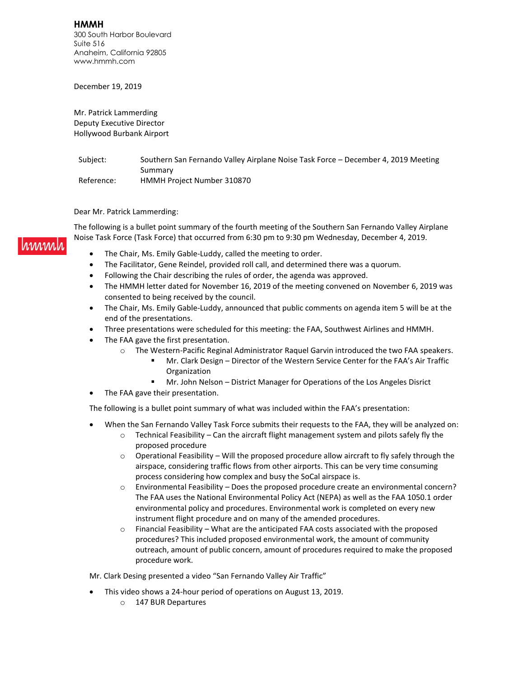**HMMH** 300 South Harbor Boulevard Suite 516 Anaheim, California 92805 www.hmmh.com

December 19, 2019

Mr. Patrick Lammerding Deputy Executive Director Hollywood Burbank Airport

Subject: Southern San Fernando Valley Airplane Noise Task Force - December 4, 2019 Meeting Summary Reference: HMMH Project Number 310870

Dear Mr. Patrick Lammerding:

rmman l

The following is a bullet point summary of the fourth meeting of the Southern San Fernando Valley Airplane Noise Task Force (Task Force) that occurred from 6:30 pm to 9:30 pm Wednesday, December 4, 2019.

- The Chair, Ms. Emily Gable-Luddy, called the meeting to order.
- The Facilitator, Gene Reindel, provided roll call, and determined there was a quorum.
- Following the Chair describing the rules of order, the agenda was approved.
- The HMMH letter dated for November 16, 2019 of the meeting convened on November 6, 2019 was consented to being received by the council.
- The Chair, Ms. Emily Gable-Luddy, announced that public comments on agenda item 5 will be at the end of the presentations.
- Three presentations were scheduled for this meeting: the FAA, Southwest Airlines and HMMH.
- The FAA gave the first presentation.
	- o The Western-Pacific Reginal Administrator Raquel Garvin introduced the two FAA speakers.
		- Mr. Clark Design Director of the Western Service Center for the FAA's Air Traffic Organization
		- Mr. John Nelson District Manager for Operations of the Los Angeles Disrict
- The FAA gave their presentation.

The following is a bullet point summary of what was included within the FAA's presentation:

- When the San Fernando Valley Task Force submits their requests to the FAA, they will be analyzed on:
	- $\circ$  Technical Feasibility Can the aircraft flight management system and pilots safely fly the proposed procedure
	- $\circ$  Operational Feasibility Will the proposed procedure allow aircraft to fly safely through the airspace, considering traffic flows from other airports. This can be very time consuming process considering how complex and busy the SoCal airspace is.
	- $\circ$  Environmental Feasibility Does the proposed procedure create an environmental concern? The FAA uses the National Environmental Policy Act (NEPA) as well as the FAA 1050.1 order environmental policy and procedures. Environmental work is completed on every new instrument flight procedure and on many of the amended procedures.
	- $\circ$  Financial Feasibility What are the anticipated FAA costs associated with the proposed procedures? This included proposed environmental work, the amount of community outreach, amount of public concern, amount of procedures required to make the proposed procedure work.

Mr. Clark Desing presented a video "San Fernando Valley Air Traffic"

- This video shows a 24-hour period of operations on August 13, 2019.
	- o 147 BUR Departures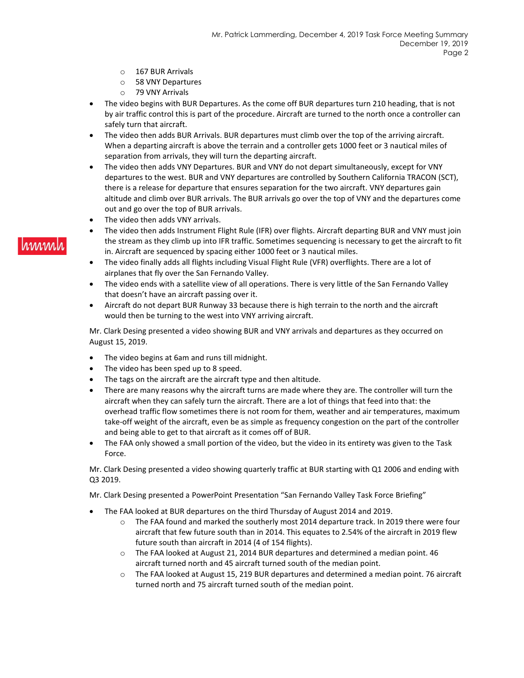- o 167 BUR Arrivals
- o 58 VNY Departures
- o 79 VNY Arrivals
- The video begins with BUR Departures. As the come off BUR departures turn 210 heading, that is not by air traffic control this is part of the procedure. Aircraft are turned to the north once a controller can safely turn that aircraft.
- The video then adds BUR Arrivals. BUR departures must climb over the top of the arriving aircraft. When a departing aircraft is above the terrain and a controller gets 1000 feet or 3 nautical miles of separation from arrivals, they will turn the departing aircraft.
- The video then adds VNY Departures. BUR and VNY do not depart simultaneously, except for VNY departures to the west. BUR and VNY departures are controlled by Southern California TRACON (SCT), there is a release for departure that ensures separation for the two aircraft. VNY departures gain altitude and climb over BUR arrivals. The BUR arrivals go over the top of VNY and the departures come out and go over the top of BUR arrivals.
- The video then adds VNY arrivals.
- The video then adds Instrument Flight Rule (IFR) over flights. Aircraft departing BUR and VNY must join the stream as they climb up into IFR traffic. Sometimes sequencing is necessary to get the aircraft to fit in. Aircraft are sequenced by spacing either 1000 feet or 3 nautical miles.
- The video finally adds all flights including Visual Flight Rule (VFR) overflights. There are a lot of airplanes that fly over the San Fernando Valley.
- The video ends with a satellite view of all operations. There is very little of the San Fernando Valley that doesn't have an aircraft passing over it.
- Aircraft do not depart BUR Runway 33 because there is high terrain to the north and the aircraft would then be turning to the west into VNY arriving aircraft.

Mr. Clark Desing presented a video showing BUR and VNY arrivals and departures as they occurred on August 15, 2019.

- The video begins at 6am and runs till midnight.
- The video has been sped up to 8 speed.
- The tags on the aircraft are the aircraft type and then altitude.
- There are many reasons why the aircraft turns are made where they are. The controller will turn the aircraft when they can safely turn the aircraft. There are a lot of things that feed into that: the overhead traffic flow sometimes there is not room for them, weather and air temperatures, maximum take-off weight of the aircraft, even be as simple as frequency congestion on the part of the controller and being able to get to that aircraft as it comes off of BUR.
- The FAA only showed a small portion of the video, but the video in its entirety was given to the Task Force.

Mr. Clark Desing presented a video showing quarterly traffic at BUR starting with Q1 2006 and ending with Q3 2019.

Mr. Clark Desing presented a PowerPoint Presentation "San Fernando Valley Task Force Briefing"

- The FAA looked at BUR departures on the third Thursday of August 2014 and 2019.
	- o The FAA found and marked the southerly most 2014 departure track. In 2019 there were four aircraft that few future south than in 2014. This equates to 2.54% of the aircraft in 2019 flew future south than aircraft in 2014 (4 of 154 flights).
	- $\circ$  The FAA looked at August 21, 2014 BUR departures and determined a median point. 46 aircraft turned north and 45 aircraft turned south of the median point.
	- o The FAA looked at August 15, 219 BUR departures and determined a median point. 76 aircraft turned north and 75 aircraft turned south of the median point.

# rinnin.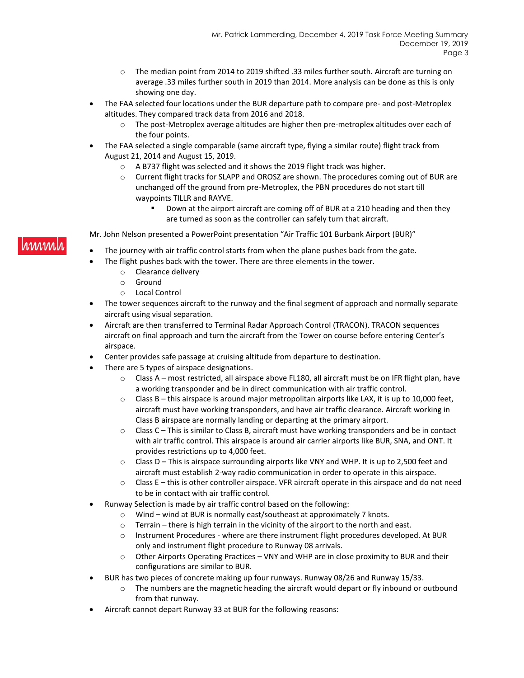- o The median point from 2014 to 2019 shifted .33 miles further south. Aircraft are turning on average .33 miles further south in 2019 than 2014. More analysis can be done as this is only showing one day.
- The FAA selected four locations under the BUR departure path to compare pre- and post-Metroplex altitudes. They compared track data from 2016 and 2018.
	- $\circ$  The post-Metroplex average altitudes are higher then pre-metroplex altitudes over each of the four points.
- The FAA selected a single comparable (same aircraft type, flying a similar route) flight track from August 21, 2014 and August 15, 2019.
	- o A B737 flight was selected and it shows the 2019 flight track was higher.
	- o Current flight tracks for SLAPP and OROSZ are shown. The procedures coming out of BUR are unchanged off the ground from pre-Metroplex, the PBN procedures do not start till waypoints TILLR and RAYVE.
		- Down at the airport aircraft are coming off of BUR at a 210 heading and then they are turned as soon as the controller can safely turn that aircraft.

Mr. John Nelson presented a PowerPoint presentation "Air Traffic 101 Burbank Airport (BUR)"

- The journey with air traffic control starts from when the plane pushes back from the gate.
- The flight pushes back with the tower. There are three elements in the tower.
	- o Clearance delivery
	- o Ground
	- o Local Control
- The tower sequences aircraft to the runway and the final segment of approach and normally separate aircraft using visual separation.
- Aircraft are then transferred to Terminal Radar Approach Control (TRACON). TRACON sequences aircraft on final approach and turn the aircraft from the Tower on course before entering Center's airspace.
- Center provides safe passage at cruising altitude from departure to destination.
- There are 5 types of airspace designations.
	- $\circ$  Class A most restricted, all airspace above FL180, all aircraft must be on IFR flight plan, have a working transponder and be in direct communication with air traffic control.
	- $\circ$  Class B this airspace is around major metropolitan airports like LAX, it is up to 10,000 feet, aircraft must have working transponders, and have air traffic clearance. Aircraft working in Class B airspace are normally landing or departing at the primary airport.
	- $\circ$  Class C This is similar to Class B, aircraft must have working transponders and be in contact with air traffic control. This airspace is around air carrier airports like BUR, SNA, and ONT. It provides restrictions up to 4,000 feet.
	- $\circ$  Class D This is airspace surrounding airports like VNY and WHP. It is up to 2,500 feet and aircraft must establish 2-way radio communication in order to operate in this airspace.
	- o Class E this is other controller airspace. VFR aircraft operate in this airspace and do not need to be in contact with air traffic control.
- Runway Selection is made by air traffic control based on the following:
	- o Wind wind at BUR is normally east/southeast at approximately 7 knots.
	- o Terrain there is high terrain in the vicinity of the airport to the north and east.
	- o Instrument Procedures where are there instrument flight procedures developed. At BUR only and instrument flight procedure to Runway 08 arrivals.
	- $\circ$  Other Airports Operating Practices VNY and WHP are in close proximity to BUR and their configurations are similar to BUR.
- BUR has two pieces of concrete making up four runways. Runway 08/26 and Runway 15/33.
	- o The numbers are the magnetic heading the aircraft would depart or fly inbound or outbound from that runway.
- Aircraft cannot depart Runway 33 at BUR for the following reasons:

# rinni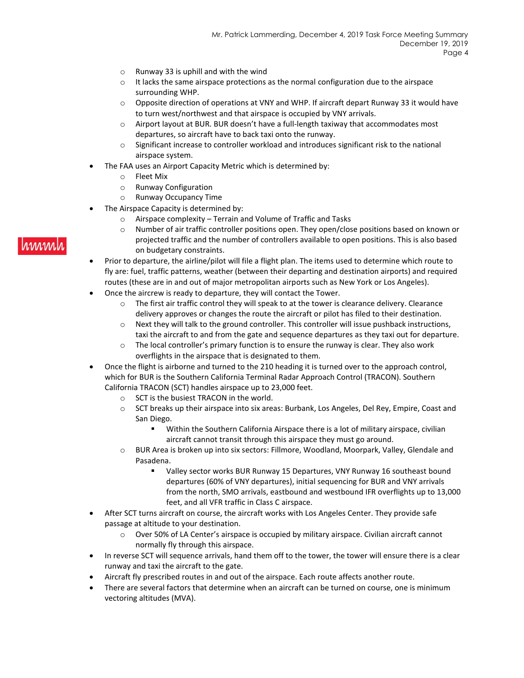- o Runway 33 is uphill and with the wind
- $\circ$  It lacks the same airspace protections as the normal configuration due to the airspace surrounding WHP.
- o Opposite direction of operations at VNY and WHP. If aircraft depart Runway 33 it would have to turn west/northwest and that airspace is occupied by VNY arrivals.
- $\circ$  Airport layout at BUR. BUR doesn't have a full-length taxiway that accommodates most departures, so aircraft have to back taxi onto the runway.
- $\circ$  Significant increase to controller workload and introduces significant risk to the national airspace system.
- The FAA uses an Airport Capacity Metric which is determined by:
	- o Fleet Mix
	- o Runway Configuration
	- o Runway Occupancy Time
- The Airspace Capacity is determined by:
	- o Airspace complexity Terrain and Volume of Traffic and Tasks
	- o Number of air traffic controller positions open. They open/close positions based on known or projected traffic and the number of controllers available to open positions. This is also based on budgetary constraints.
- Prior to departure, the airline/pilot will file a flight plan. The items used to determine which route to fly are: fuel, traffic patterns, weather (between their departing and destination airports) and required routes (these are in and out of major metropolitan airports such as New York or Los Angeles).
- Once the aircrew is ready to departure, they will contact the Tower.
	- o The first air traffic control they will speak to at the tower is clearance delivery. Clearance delivery approves or changes the route the aircraft or pilot has filed to their destination.
	- o Next they will talk to the ground controller. This controller will issue pushback instructions, taxi the aircraft to and from the gate and sequence departures as they taxi out for departure.
	- $\circ$  The local controller's primary function is to ensure the runway is clear. They also work overflights in the airspace that is designated to them.
- Once the flight is airborne and turned to the 210 heading it is turned over to the approach control, which for BUR is the Southern California Terminal Radar Approach Control (TRACON). Southern California TRACON (SCT) handles airspace up to 23,000 feet.
	- o SCT is the busiest TRACON in the world.
	- o SCT breaks up their airspace into six areas: Burbank, Los Angeles, Del Rey, Empire, Coast and San Diego.
		- Within the Southern California Airspace there is a lot of military airspace, civilian aircraft cannot transit through this airspace they must go around.
	- o BUR Area is broken up into six sectors: Fillmore, Woodland, Moorpark, Valley, Glendale and Pasadena.
		- Valley sector works BUR Runway 15 Departures, VNY Runway 16 southeast bound departures (60% of VNY departures), initial sequencing for BUR and VNY arrivals from the north, SMO arrivals, eastbound and westbound IFR overflights up to 13,000 feet, and all VFR traffic in Class C airspace.
- After SCT turns aircraft on course, the aircraft works with Los Angeles Center. They provide safe passage at altitude to your destination.
	- o Over 50% of LA Center's airspace is occupied by military airspace. Civilian aircraft cannot normally fly through this airspace.
- In reverse SCT will sequence arrivals, hand them off to the tower, the tower will ensure there is a clear runway and taxi the aircraft to the gate.
- Aircraft fly prescribed routes in and out of the airspace. Each route affects another route.
- There are several factors that determine when an aircraft can be turned on course, one is minimum vectoring altitudes (MVA).

# rmm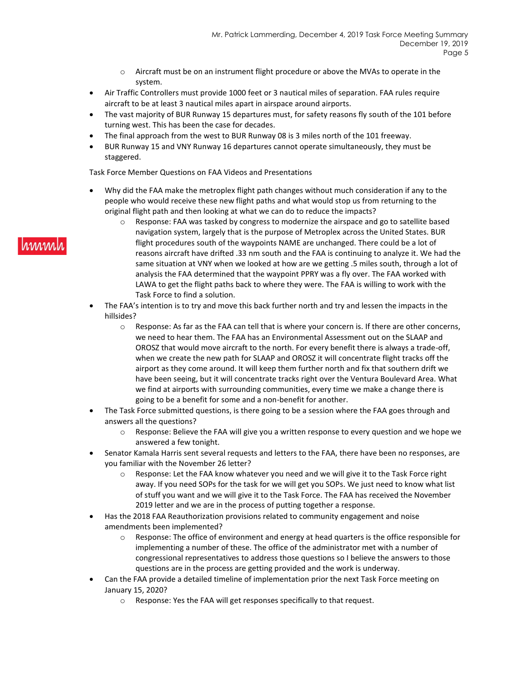- $\circ$  Aircraft must be on an instrument flight procedure or above the MVAs to operate in the system.
- Air Traffic Controllers must provide 1000 feet or 3 nautical miles of separation. FAA rules require aircraft to be at least 3 nautical miles apart in airspace around airports.
- The vast majority of BUR Runway 15 departures must, for safety reasons fly south of the 101 before turning west. This has been the case for decades.
- The final approach from the west to BUR Runway 08 is 3 miles north of the 101 freeway.
- BUR Runway 15 and VNY Runway 16 departures cannot operate simultaneously, they must be staggered.

Task Force Member Questions on FAA Videos and Presentations

- Why did the FAA make the metroplex flight path changes without much consideration if any to the people who would receive these new flight paths and what would stop us from returning to the original flight path and then looking at what we can do to reduce the impacts?
	- o Response: FAA was tasked by congress to modernize the airspace and go to satellite based navigation system, largely that is the purpose of Metroplex across the United States. BUR flight procedures south of the waypoints NAME are unchanged. There could be a lot of reasons aircraft have drifted .33 nm south and the FAA is continuing to analyze it. We had the same situation at VNY when we looked at how are we getting .5 miles south, through a lot of analysis the FAA determined that the waypoint PPRY was a fly over. The FAA worked with LAWA to get the flight paths back to where they were. The FAA is willing to work with the Task Force to find a solution.
- The FAA's intention is to try and move this back further north and try and lessen the impacts in the hillsides?
	- $\circ$  Response: As far as the FAA can tell that is where your concern is. If there are other concerns, we need to hear them. The FAA has an Environmental Assessment out on the SLAAP and OROSZ that would move aircraft to the north. For every benefit there is always a trade-off, when we create the new path for SLAAP and OROSZ it will concentrate flight tracks off the airport as they come around. It will keep them further north and fix that southern drift we have been seeing, but it will concentrate tracks right over the Ventura Boulevard Area. What we find at airports with surrounding communities, every time we make a change there is going to be a benefit for some and a non-benefit for another.
- The Task Force submitted questions, is there going to be a session where the FAA goes through and answers all the questions?
	- o Response: Believe the FAA will give you a written response to every question and we hope we answered a few tonight.
- Senator Kamala Harris sent several requests and letters to the FAA, there have been no responses, are you familiar with the November 26 letter?
	- $\circ$  Response: Let the FAA know whatever you need and we will give it to the Task Force right away. If you need SOPs for the task for we will get you SOPs. We just need to know what list of stuff you want and we will give it to the Task Force. The FAA has received the November 2019 letter and we are in the process of putting together a response.
- Has the 2018 FAA Reauthorization provisions related to community engagement and noise amendments been implemented?
	- $\circ$  Response: The office of environment and energy at head quarters is the office responsible for implementing a number of these. The office of the administrator met with a number of congressional representatives to address those questions so I believe the answers to those questions are in the process are getting provided and the work is underway.
- Can the FAA provide a detailed timeline of implementation prior the next Task Force meeting on January 15, 2020?
	- o Response: Yes the FAA will get responses specifically to that request.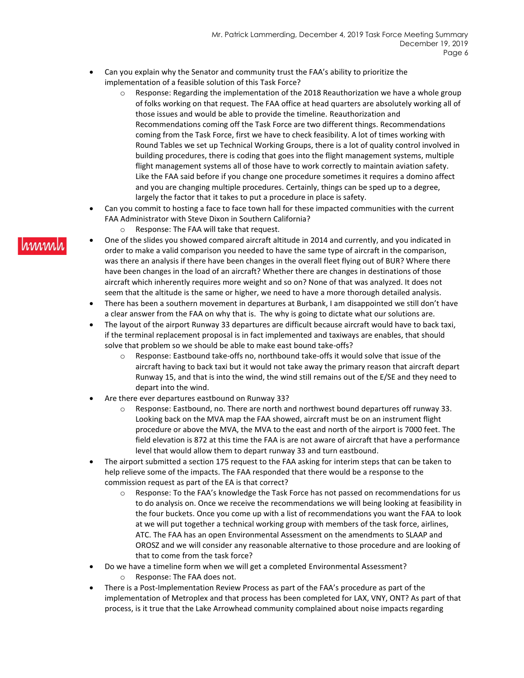- Can you explain why the Senator and community trust the FAA's ability to prioritize the implementation of a feasible solution of this Task Force?
	- $\circ$  Response: Regarding the implementation of the 2018 Reauthorization we have a whole group of folks working on that request. The FAA office at head quarters are absolutely working all of those issues and would be able to provide the timeline. Reauthorization and Recommendations coming off the Task Force are two different things. Recommendations coming from the Task Force, first we have to check feasibility. A lot of times working with Round Tables we set up Technical Working Groups, there is a lot of quality control involved in building procedures, there is coding that goes into the flight management systems, multiple flight management systems all of those have to work correctly to maintain aviation safety. Like the FAA said before if you change one procedure sometimes it requires a domino affect and you are changing multiple procedures. Certainly, things can be sped up to a degree, largely the factor that it takes to put a procedure in place is safety.
- Can you commit to hosting a face to face town hall for these impacted communities with the current FAA Administrator with Steve Dixon in Southern California?
	- o Response: The FAA will take that request.
- One of the slides you showed compared aircraft altitude in 2014 and currently, and you indicated in order to make a valid comparison you needed to have the same type of aircraft in the comparison, was there an analysis if there have been changes in the overall fleet flying out of BUR? Where there have been changes in the load of an aircraft? Whether there are changes in destinations of those aircraft which inherently requires more weight and so on? None of that was analyzed. It does not seem that the altitude is the same or higher, we need to have a more thorough detailed analysis.
- There has been a southern movement in departures at Burbank, I am disappointed we still don't have a clear answer from the FAA on why that is. The why is going to dictate what our solutions are.
- The layout of the airport Runway 33 departures are difficult because aircraft would have to back taxi, if the terminal replacement proposal is in fact implemented and taxiways are enables, that should solve that problem so we should be able to make east bound take-offs?
	- $\circ$  Response: Eastbound take-offs no, northbound take-offs it would solve that issue of the aircraft having to back taxi but it would not take away the primary reason that aircraft depart Runway 15, and that is into the wind, the wind still remains out of the E/SE and they need to depart into the wind.
- Are there ever departures eastbound on Runway 33?
	- $\circ$  Response: Eastbound, no. There are north and northwest bound departures off runway 33. Looking back on the MVA map the FAA showed, aircraft must be on an instrument flight procedure or above the MVA, the MVA to the east and north of the airport is 7000 feet. The field elevation is 872 at this time the FAA is are not aware of aircraft that have a performance level that would allow them to depart runway 33 and turn eastbound.
- The airport submitted a section 175 request to the FAA asking for interim steps that can be taken to help relieve some of the impacts. The FAA responded that there would be a response to the commission request as part of the EA is that correct?
	- $\circ$  Response: To the FAA's knowledge the Task Force has not passed on recommendations for us to do analysis on. Once we receive the recommendations we will being looking at feasibility in the four buckets. Once you come up with a list of recommendations you want the FAA to look at we will put together a technical working group with members of the task force, airlines, ATC. The FAA has an open Environmental Assessment on the amendments to SLAAP and OROSZ and we will consider any reasonable alternative to those procedure and are looking of that to come from the task force?
- Do we have a timeline form when we will get a completed Environmental Assessment? o Response: The FAA does not.
- There is a Post-Implementation Review Process as part of the FAA's procedure as part of the implementation of Metroplex and that process has been completed for LAX, VNY, ONT? As part of that process, is it true that the Lake Arrowhead community complained about noise impacts regarding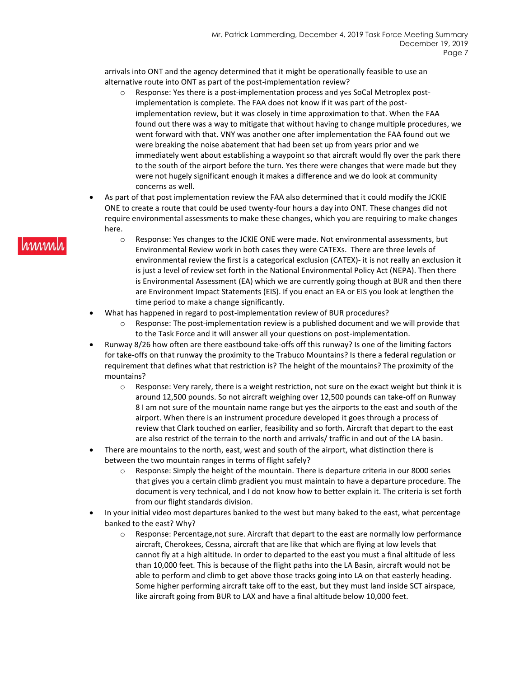arrivals into ONT and the agency determined that it might be operationally feasible to use an alternative route into ONT as part of the post-implementation review?

- o Response: Yes there is a post-implementation process and yes SoCal Metroplex postimplementation is complete. The FAA does not know if it was part of the postimplementation review, but it was closely in time approximation to that. When the FAA found out there was a way to mitigate that without having to change multiple procedures, we went forward with that. VNY was another one after implementation the FAA found out we were breaking the noise abatement that had been set up from years prior and we immediately went about establishing a waypoint so that aircraft would fly over the park there to the south of the airport before the turn. Yes there were changes that were made but they were not hugely significant enough it makes a difference and we do look at community concerns as well.
- As part of that post implementation review the FAA also determined that it could modify the JCKIE ONE to create a route that could be used twenty-four hours a day into ONT. These changes did not require environmental assessments to make these changes, which you are requiring to make changes here.
	- $\circ$  Response: Yes changes to the JCKIE ONE were made. Not environmental assessments, but Environmental Review work in both cases they were CATEXs. There are three levels of environmental review the first is a categorical exclusion (CATEX)- it is not really an exclusion it is just a level of review set forth in the National Environmental Policy Act (NEPA). Then there is Environmental Assessment (EA) which we are currently going though at BUR and then there are Environment Impact Statements (EIS). If you enact an EA or EIS you look at lengthen the time period to make a change significantly.
- What has happened in regard to post-implementation review of BUR procedures?
	- $\circ$  Response: The post-implementation review is a published document and we will provide that to the Task Force and it will answer all your questions on post-implementation.
- Runway 8/26 how often are there eastbound take-offs off this runway? Is one of the limiting factors for take-offs on that runway the proximity to the Trabuco Mountains? Is there a federal regulation or requirement that defines what that restriction is? The height of the mountains? The proximity of the mountains?
	- $\circ$  Response: Very rarely, there is a weight restriction, not sure on the exact weight but think it is around 12,500 pounds. So not aircraft weighing over 12,500 pounds can take-off on Runway 8 I am not sure of the mountain name range but yes the airports to the east and south of the airport. When there is an instrument procedure developed it goes through a process of review that Clark touched on earlier, feasibility and so forth. Aircraft that depart to the east are also restrict of the terrain to the north and arrivals/ traffic in and out of the LA basin.
- There are mountains to the north, east, west and south of the airport, what distinction there is between the two mountain ranges in terms of flight safely?
	- o Response: Simply the height of the mountain. There is departure criteria in our 8000 series that gives you a certain climb gradient you must maintain to have a departure procedure. The document is very technical, and I do not know how to better explain it. The criteria is set forth from our flight standards division.
- In your initial video most departures banked to the west but many baked to the east, what percentage banked to the east? Why?
	- $\circ$  Response: Percentage, not sure. Aircraft that depart to the east are normally low performance aircraft, Cherokees, Cessna, aircraft that are like that which are flying at low levels that cannot fly at a high altitude. In order to departed to the east you must a final altitude of less than 10,000 feet. This is because of the flight paths into the LA Basin, aircraft would not be able to perform and climb to get above those tracks going into LA on that easterly heading. Some higher performing aircraft take off to the east, but they must land inside SCT airspace, like aircraft going from BUR to LAX and have a final altitude below 10,000 feet.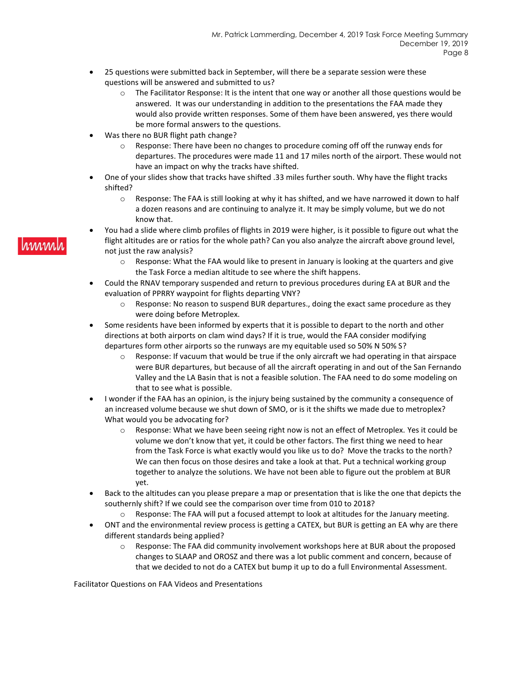- 25 questions were submitted back in September, will there be a separate session were these questions will be answered and submitted to us?
	- $\circ$  The Facilitator Response: It is the intent that one way or another all those questions would be answered. It was our understanding in addition to the presentations the FAA made they would also provide written responses. Some of them have been answered, yes there would be more formal answers to the questions.
- Was there no BUR flight path change?
	- o Response: There have been no changes to procedure coming off off the runway ends for departures. The procedures were made 11 and 17 miles north of the airport. These would not have an impact on why the tracks have shifted.
- One of your slides show that tracks have shifted .33 miles further south. Why have the flight tracks shifted?
	- o Response: The FAA is still looking at why it has shifted, and we have narrowed it down to half a dozen reasons and are continuing to analyze it. It may be simply volume, but we do not know that.
- You had a slide where climb profiles of flights in 2019 were higher, is it possible to figure out what the flight altitudes are or ratios for the whole path? Can you also analyze the aircraft above ground level, not just the raw analysis?
	- $\circ$  Response: What the FAA would like to present in January is looking at the quarters and give the Task Force a median altitude to see where the shift happens.
- Could the RNAV temporary suspended and return to previous procedures during EA at BUR and the evaluation of PPRRY waypoint for flights departing VNY?
	- $\circ$  Response: No reason to suspend BUR departures., doing the exact same procedure as they were doing before Metroplex.
- Some residents have been informed by experts that it is possible to depart to the north and other directions at both airports on clam wind days? If it is true, would the FAA consider modifying departures form other airports so the runways are my equitable used so 50% N 50% S?
	- $\circ$  Response: If vacuum that would be true if the only aircraft we had operating in that airspace were BUR departures, but because of all the aircraft operating in and out of the San Fernando Valley and the LA Basin that is not a feasible solution. The FAA need to do some modeling on that to see what is possible.
- I wonder if the FAA has an opinion, is the injury being sustained by the community a consequence of an increased volume because we shut down of SMO, or is it the shifts we made due to metroplex? What would you be advocating for?
	- o Response: What we have been seeing right now is not an effect of Metroplex. Yes it could be volume we don't know that yet, it could be other factors. The first thing we need to hear from the Task Force is what exactly would you like us to do? Move the tracks to the north? We can then focus on those desires and take a look at that. Put a technical working group together to analyze the solutions. We have not been able to figure out the problem at BUR yet.
- Back to the altitudes can you please prepare a map or presentation that is like the one that depicts the southernly shift? If we could see the comparison over time from 010 to 2018?
	- $\circ$  Response: The FAA will put a focused attempt to look at altitudes for the January meeting.
- ONT and the environmental review process is getting a CATEX, but BUR is getting an EA why are there different standards being applied?
	- o Response: The FAA did community involvement workshops here at BUR about the proposed changes to SLAAP and OROSZ and there was a lot public comment and concern, because of that we decided to not do a CATEX but bump it up to do a full Environmental Assessment.

Facilitator Questions on FAA Videos and Presentations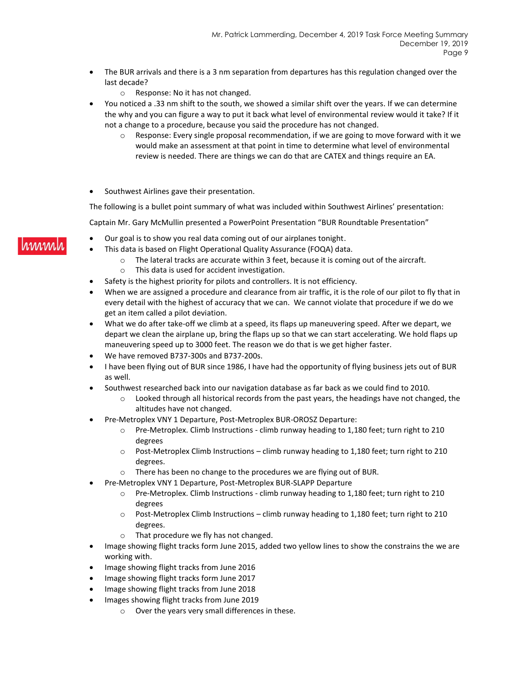- The BUR arrivals and there is a 3 nm separation from departures has this regulation changed over the last decade?
	- o Response: No it has not changed.
- You noticed a .33 nm shift to the south, we showed a similar shift over the years. If we can determine the why and you can figure a way to put it back what level of environmental review would it take? If it not a change to a procedure, because you said the procedure has not changed.
	- $\circ$  Response: Every single proposal recommendation, if we are going to move forward with it we would make an assessment at that point in time to determine what level of environmental review is needed. There are things we can do that are CATEX and things require an EA.
- Southwest Airlines gave their presentation.

The following is a bullet point summary of what was included within Southwest Airlines' presentation:

Captain Mr. Gary McMullin presented a PowerPoint Presentation "BUR Roundtable Presentation"

- Our goal is to show you real data coming out of our airplanes tonight.
	- This data is based on Flight Operational Quality Assurance (FOQA) data.
		- $\circ$  The lateral tracks are accurate within 3 feet, because it is coming out of the aircraft. o This data is used for accident investigation.
- Safety is the highest priority for pilots and controllers. It is not efficiency.
- When we are assigned a procedure and clearance from air traffic, it is the role of our pilot to fly that in every detail with the highest of accuracy that we can. We cannot violate that procedure if we do we get an item called a pilot deviation.
- What we do after take-off we climb at a speed, its flaps up maneuvering speed. After we depart, we depart we clean the airplane up, bring the flaps up so that we can start accelerating. We hold flaps up maneuvering speed up to 3000 feet. The reason we do that is we get higher faster.
- We have removed B737-300s and B737-200s.
- I have been flying out of BUR since 1986, I have had the opportunity of flying business jets out of BUR as well.
- Southwest researched back into our navigation database as far back as we could find to 2010.
	- $\circ$  Looked through all historical records from the past years, the headings have not changed, the altitudes have not changed.
- Pre-Metroplex VNY 1 Departure, Post-Metroplex BUR-OROSZ Departure:
	- o Pre-Metroplex. Climb Instructions climb runway heading to 1,180 feet; turn right to 210 degrees
	- o Post-Metroplex Climb Instructions climb runway heading to 1,180 feet; turn right to 210 degrees.
	- o There has been no change to the procedures we are flying out of BUR.
- Pre-Metroplex VNY 1 Departure, Post-Metroplex BUR-SLAPP Departure
	- o Pre-Metroplex. Climb Instructions climb runway heading to 1,180 feet; turn right to 210 degrees
	- $\circ$  Post-Metroplex Climb Instructions climb runway heading to 1,180 feet; turn right to 210 degrees.
	- o That procedure we fly has not changed.
- Image showing flight tracks form June 2015, added two yellow lines to show the constrains the we are working with.
- Image showing flight tracks from June 2016
- Image showing flight tracks form June 2017
- Image showing flight tracks from June 2018
- Images showing flight tracks from June 2019
	- o Over the years very small differences in these.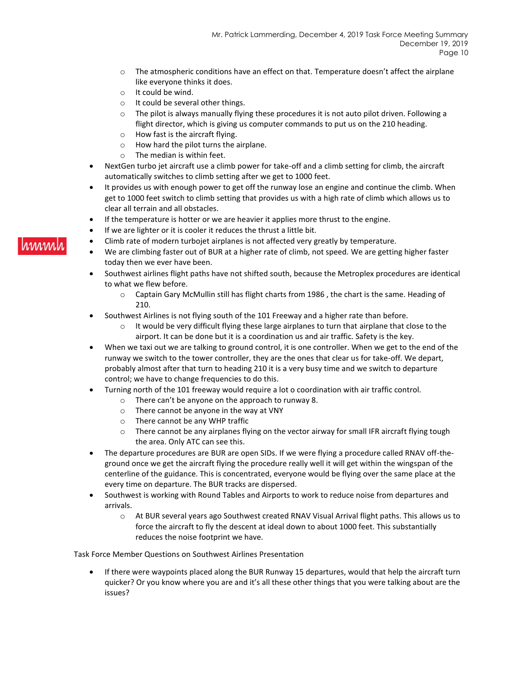- $\circ$  The atmospheric conditions have an effect on that. Temperature doesn't affect the airplane like everyone thinks it does.
- o It could be wind.
- o It could be several other things.
- $\circ$  The pilot is always manually flying these procedures it is not auto pilot driven. Following a flight director, which is giving us computer commands to put us on the 210 heading.
- o How fast is the aircraft flying.
- o How hard the pilot turns the airplane.
- o The median is within feet.
- NextGen turbo jet aircraft use a climb power for take-off and a climb setting for climb, the aircraft automatically switches to climb setting after we get to 1000 feet.
- It provides us with enough power to get off the runway lose an engine and continue the climb. When get to 1000 feet switch to climb setting that provides us with a high rate of climb which allows us to clear all terrain and all obstacles.
- If the temperature is hotter or we are heavier it applies more thrust to the engine.
- If we are lighter or it is cooler it reduces the thrust a little bit.
- Climb rate of modern turbojet airplanes is not affected very greatly by temperature.
- We are climbing faster out of BUR at a higher rate of climb, not speed. We are getting higher faster today then we ever have been.
- Southwest airlines flight paths have not shifted south, because the Metroplex procedures are identical to what we flew before.
	- o Captain Gary McMullin still has flight charts from 1986 , the chart is the same. Heading of 210.
- Southwest Airlines is not flying south of the 101 Freeway and a higher rate than before.
	- $\circ$  It would be very difficult flying these large airplanes to turn that airplane that close to the airport. It can be done but it is a coordination us and air traffic. Safety is the key.
- When we taxi out we are talking to ground control, it is one controller. When we get to the end of the runway we switch to the tower controller, they are the ones that clear us for take-off. We depart, probably almost after that turn to heading 210 it is a very busy time and we switch to departure control; we have to change frequencies to do this.
- Turning north of the 101 freeway would require a lot o coordination with air traffic control.
	- o There can't be anyone on the approach to runway 8.
	- o There cannot be anyone in the way at VNY
	- o There cannot be any WHP traffic
	- $\circ$  There cannot be any airplanes flying on the vector airway for small IFR aircraft flying tough the area. Only ATC can see this.
- The departure procedures are BUR are open SIDs. If we were flying a procedure called RNAV off-theground once we get the aircraft flying the procedure really well it will get within the wingspan of the centerline of the guidance. This is concentrated, everyone would be flying over the same place at the every time on departure. The BUR tracks are dispersed.
- Southwest is working with Round Tables and Airports to work to reduce noise from departures and arrivals.
	- o At BUR several years ago Southwest created RNAV Visual Arrival flight paths. This allows us to force the aircraft to fly the descent at ideal down to about 1000 feet. This substantially reduces the noise footprint we have.

Task Force Member Questions on Southwest Airlines Presentation

• If there were waypoints placed along the BUR Runway 15 departures, would that help the aircraft turn quicker? Or you know where you are and it's all these other things that you were talking about are the issues?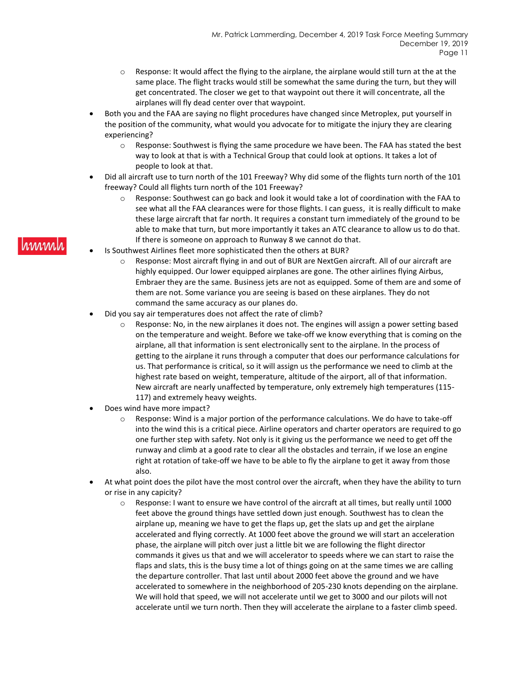- $\circ$  Response: It would affect the flying to the airplane, the airplane would still turn at the at the same place. The flight tracks would still be somewhat the same during the turn, but they will get concentrated. The closer we get to that waypoint out there it will concentrate, all the airplanes will fly dead center over that waypoint.
- Both you and the FAA are saying no flight procedures have changed since Metroplex, put yourself in the position of the community, what would you advocate for to mitigate the injury they are clearing experiencing?
	- o Response: Southwest is flying the same procedure we have been. The FAA has stated the best way to look at that is with a Technical Group that could look at options. It takes a lot of people to look at that.
- Did all aircraft use to turn north of the 101 Freeway? Why did some of the flights turn north of the 101 freeway? Could all flights turn north of the 101 Freeway?
	- o Response: Southwest can go back and look it would take a lot of coordination with the FAA to see what all the FAA clearances were for those flights. I can guess, it is really difficult to make these large aircraft that far north. It requires a constant turn immediately of the ground to be able to make that turn, but more importantly it takes an ATC clearance to allow us to do that. If there is someone on approach to Runway 8 we cannot do that.
- Is Southwest Airlines fleet more sophisticated then the others at BUR?
	- $\circ$  Response: Most aircraft flying in and out of BUR are NextGen aircraft. All of our aircraft are highly equipped. Our lower equipped airplanes are gone. The other airlines flying Airbus, Embraer they are the same. Business jets are not as equipped. Some of them are and some of them are not. Some variance you are seeing is based on these airplanes. They do not command the same accuracy as our planes do.
- Did you say air temperatures does not affect the rate of climb?
	- $\circ$  Response: No, in the new airplanes it does not. The engines will assign a power setting based on the temperature and weight. Before we take-off we know everything that is coming on the airplane, all that information is sent electronically sent to the airplane. In the process of getting to the airplane it runs through a computer that does our performance calculations for us. That performance is critical, so it will assign us the performance we need to climb at the highest rate based on weight, temperature, altitude of the airport, all of that information. New aircraft are nearly unaffected by temperature, only extremely high temperatures (115- 117) and extremely heavy weights.
- Does wind have more impact?
	- o Response: Wind is a major portion of the performance calculations. We do have to take-off into the wind this is a critical piece. Airline operators and charter operators are required to go one further step with safety. Not only is it giving us the performance we need to get off the runway and climb at a good rate to clear all the obstacles and terrain, if we lose an engine right at rotation of take-off we have to be able to fly the airplane to get it away from those also.
- At what point does the pilot have the most control over the aircraft, when they have the ability to turn or rise in any capicity?
	- $\circ$  Response: I want to ensure we have control of the aircraft at all times, but really until 1000 feet above the ground things have settled down just enough. Southwest has to clean the airplane up, meaning we have to get the flaps up, get the slats up and get the airplane accelerated and flying correctly. At 1000 feet above the ground we will start an acceleration phase, the airplane will pitch over just a little bit we are following the flight director commands it gives us that and we will accelerator to speeds where we can start to raise the flaps and slats, this is the busy time a lot of things going on at the same times we are calling the departure controller. That last until about 2000 feet above the ground and we have accelerated to somewhere in the neighborhood of 205-230 knots depending on the airplane. We will hold that speed, we will not accelerate until we get to 3000 and our pilots will not accelerate until we turn north. Then they will accelerate the airplane to a faster climb speed.

#### hinni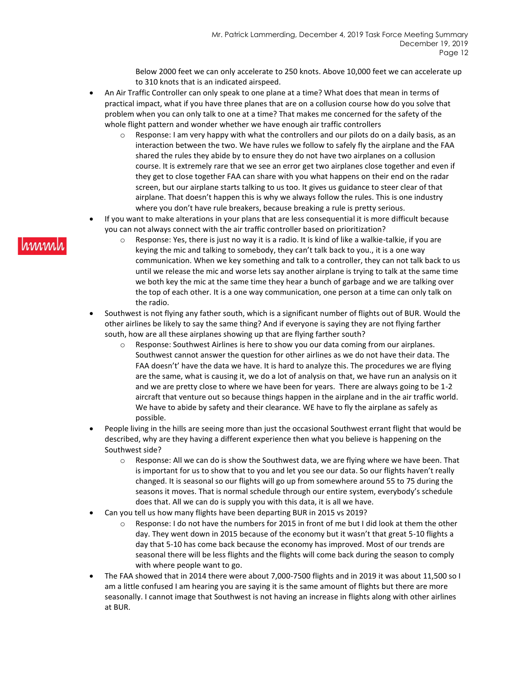Below 2000 feet we can only accelerate to 250 knots. Above 10,000 feet we can accelerate up to 310 knots that is an indicated airspeed.

- An Air Traffic Controller can only speak to one plane at a time? What does that mean in terms of practical impact, what if you have three planes that are on a collusion course how do you solve that problem when you can only talk to one at a time? That makes me concerned for the safety of the whole flight pattern and wonder whether we have enough air traffic controllers
	- $\circ$  Response: I am very happy with what the controllers and our pilots do on a daily basis, as an interaction between the two. We have rules we follow to safely fly the airplane and the FAA shared the rules they abide by to ensure they do not have two airplanes on a collusion course. It is extremely rare that we see an error get two airplanes close together and even if they get to close together FAA can share with you what happens on their end on the radar screen, but our airplane starts talking to us too. It gives us guidance to steer clear of that airplane. That doesn't happen this is why we always follow the rules. This is one industry where you don't have rule breakers, because breaking a rule is pretty serious.
- If you want to make alterations in your plans that are less consequential it is more difficult because you can not always connect with the air traffic controller based on prioritization?
	- $\circ$  Response: Yes, there is just no way it is a radio. It is kind of like a walkie-talkie, if you are keying the mic and talking to somebody, they can't talk back to you., it is a one way communication. When we key something and talk to a controller, they can not talk back to us until we release the mic and worse lets say another airplane is trying to talk at the same time we both key the mic at the same time they hear a bunch of garbage and we are talking over the top of each other. It is a one way communication, one person at a time can only talk on the radio.
- Southwest is not flying any father south, which is a significant number of flights out of BUR. Would the other airlines be likely to say the same thing? And if everyone is saying they are not flying farther south, how are all these airplanes showing up that are flying farther south?
	- o Response: Southwest Airlines is here to show you our data coming from our airplanes. Southwest cannot answer the question for other airlines as we do not have their data. The FAA doesn't' have the data we have. It is hard to analyze this. The procedures we are flying are the same, what is causing it, we do a lot of analysis on that, we have run an analysis on it and we are pretty close to where we have been for years. There are always going to be 1-2 aircraft that venture out so because things happen in the airplane and in the air traffic world. We have to abide by safety and their clearance. WE have to fly the airplane as safely as possible.
- People living in the hills are seeing more than just the occasional Southwest errant flight that would be described, why are they having a different experience then what you believe is happening on the Southwest side?
	- $\circ$  Response: All we can do is show the Southwest data, we are flying where we have been. That is important for us to show that to you and let you see our data. So our flights haven't really changed. It is seasonal so our flights will go up from somewhere around 55 to 75 during the seasons it moves. That is normal schedule through our entire system, everybody's schedule does that. All we can do is supply you with this data, it is all we have.
- Can you tell us how many flights have been departing BUR in 2015 vs 2019?
	- o Response: I do not have the numbers for 2015 in front of me but I did look at them the other day. They went down in 2015 because of the economy but it wasn't that great 5-10 flights a day that 5-10 has come back because the economy has improved. Most of our trends are seasonal there will be less flights and the flights will come back during the season to comply with where people want to go.
- The FAA showed that in 2014 there were about 7,000-7500 flights and in 2019 it was about 11,500 so I am a little confused I am hearing you are saying it is the same amount of flights but there are more seasonally. I cannot image that Southwest is not having an increase in flights along with other airlines at BUR.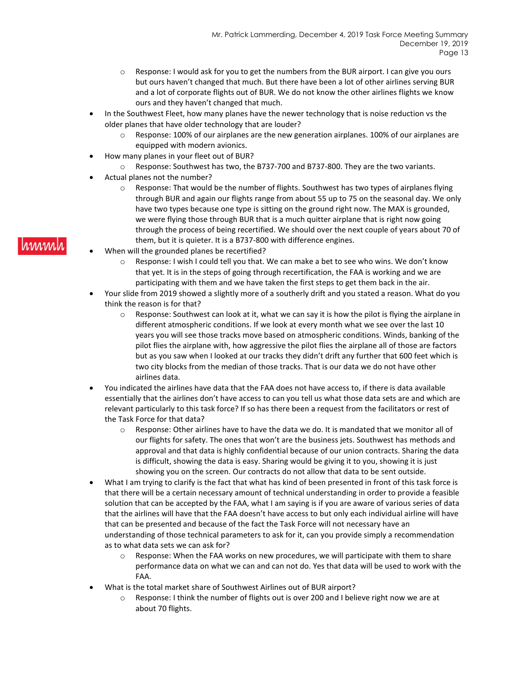- $\circ$  Response: I would ask for you to get the numbers from the BUR airport. I can give you ours but ours haven't changed that much. But there have been a lot of other airlines serving BUR and a lot of corporate flights out of BUR. We do not know the other airlines flights we know ours and they haven't changed that much.
- In the Southwest Fleet, how many planes have the newer technology that is noise reduction vs the older planes that have older technology that are louder?
	- $\circ$  Response: 100% of our airplanes are the new generation airplanes. 100% of our airplanes are equipped with modern avionics.
- How many planes in your fleet out of BUR?
- Response: Southwest has two, the B737-700 and B737-800. They are the two variants.
- Actual planes not the number?
	- o Response: That would be the number of flights. Southwest has two types of airplanes flying through BUR and again our flights range from about 55 up to 75 on the seasonal day. We only have two types because one type is sitting on the ground right now. The MAX is grounded, we were flying those through BUR that is a much quitter airplane that is right now going through the process of being recertified. We should over the next couple of years about 70 of them, but it is quieter. It is a B737-800 with difference engines.
- When will the grounded planes be recertified?
	- Response: I wish I could tell you that. We can make a bet to see who wins. We don't know that yet. It is in the steps of going through recertification, the FAA is working and we are participating with them and we have taken the first steps to get them back in the air.
- Your slide from 2019 showed a slightly more of a southerly drift and you stated a reason. What do you think the reason is for that?
	- o Response: Southwest can look at it, what we can say it is how the pilot is flying the airplane in different atmospheric conditions. If we look at every month what we see over the last 10 years you will see those tracks move based on atmospheric conditions. Winds, banking of the pilot flies the airplane with, how aggressive the pilot flies the airplane all of those are factors but as you saw when I looked at our tracks they didn't drift any further that 600 feet which is two city blocks from the median of those tracks. That is our data we do not have other airlines data.
- You indicated the airlines have data that the FAA does not have access to, if there is data available essentially that the airlines don't have access to can you tell us what those data sets are and which are relevant particularly to this task force? If so has there been a request from the facilitators or rest of the Task Force for that data?
	- o Response: Other airlines have to have the data we do. It is mandated that we monitor all of our flights for safety. The ones that won't are the business jets. Southwest has methods and approval and that data is highly confidential because of our union contracts. Sharing the data is difficult, showing the data is easy. Sharing would be giving it to you, showing it is just showing you on the screen. Our contracts do not allow that data to be sent outside.
- What I am trying to clarify is the fact that what has kind of been presented in front of this task force is that there will be a certain necessary amount of technical understanding in order to provide a feasible solution that can be accepted by the FAA, what I am saying is if you are aware of various series of data that the airlines will have that the FAA doesn't have access to but only each individual airline will have that can be presented and because of the fact the Task Force will not necessary have an understanding of those technical parameters to ask for it, can you provide simply a recommendation as to what data sets we can ask for?
	- $\circ$  Response: When the FAA works on new procedures, we will participate with them to share performance data on what we can and can not do. Yes that data will be used to work with the FAA.
- What is the total market share of Southwest Airlines out of BUR airport?
	- o Response: I think the number of flights out is over 200 and I believe right now we are at about 70 flights.

#### rinnin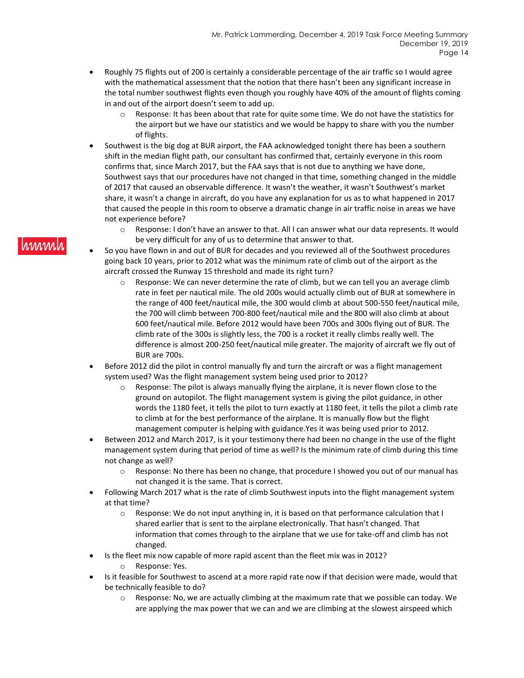- Roughly 75 flights out of 200 is certainly a considerable percentage of the air traffic so I would agree with the mathematical assessment that the notion that there hasn't been any significant increase in the total number southwest flights even though you roughly have 40% of the amount of flights coming in and out of the airport doesn't seem to add up.
	- $\circ$  Response: It has been about that rate for quite some time. We do not have the statistics for the airport but we have our statistics and we would be happy to share with you the number of flights.
- Southwest is the big dog at BUR airport, the FAA acknowledged tonight there has been a southern shift in the median flight path, our consultant has confirmed that, certainly everyone in this room confirms that, since March 2017, but the FAA says that is not due to anything we have done, Southwest says that our procedures have not changed in that time, something changed in the middle of 2017 that caused an observable difference. It wasn't the weather, it wasn't Southwest's market share, it wasn't a change in aircraft, do you have any explanation for us as to what happened in 2017 that caused the people in this room to observe a dramatic change in air traffic noise in areas we have not experience before?
	- o Response: I don't have an answer to that. All I can answer what our data represents. It would be very difficult for any of us to determine that answer to that.
- So you have flown in and out of BUR for decades and you reviewed all of the Southwest procedures going back 10 years, prior to 2012 what was the minimum rate of climb out of the airport as the aircraft crossed the Runway 15 threshold and made its right turn?
	- $\circ$  Response: We can never determine the rate of climb, but we can tell you an average climb rate in feet per nautical mile. The old 200s would actually climb out of BUR at somewhere in the range of 400 feet/nautical mile, the 300 would climb at about 500-550 feet/nautical mile, the 700 will climb between 700-800 feet/nautical mile and the 800 will also climb at about 600 feet/nautical mile. Before 2012 would have been 700s and 300s flying out of BUR. The climb rate of the 300s is slightly less, the 700 is a rocket it really climbs really well. The difference is almost 200-250 feet/nautical mile greater. The majority of aircraft we fly out of BUR are 700s.
- Before 2012 did the pilot in control manually fly and turn the aircraft or was a flight management system used? Was the flight management system being used prior to 2012?
	- Response: The pilot is always manually flying the airplane, it is never flown close to the ground on autopilot. The flight management system is giving the pilot guidance, in other words the 1180 feet, it tells the pilot to turn exactly at 1180 feet, it tells the pilot a climb rate to climb at for the best performance of the airplane. It is manually flow but the flight management computer is helping with guidance.Yes it was being used prior to 2012.
- Between 2012 and March 2017, is it your testimony there had been no change in the use of the flight management system during that period of time as well? Is the minimum rate of climb during this time not change as well?
	- o Response: No there has been no change, that procedure I showed you out of our manual has not changed it is the same. That is correct.
- Following March 2017 what is the rate of climb Southwest inputs into the flight management system at that time?
	- o Response: We do not input anything in, it is based on that performance calculation that I shared earlier that is sent to the airplane electronically. That hasn't changed. That information that comes through to the airplane that we use for take-off and climb has not changed.
- Is the fleet mix now capable of more rapid ascent than the fleet mix was in 2012?
	- o Response: Yes.
- Is it feasible for Southwest to ascend at a more rapid rate now if that decision were made, would that be technically feasible to do?
	- o Response: No, we are actually climbing at the maximum rate that we possible can today. We are applying the max power that we can and we are climbing at the slowest airspeed which

#### hmm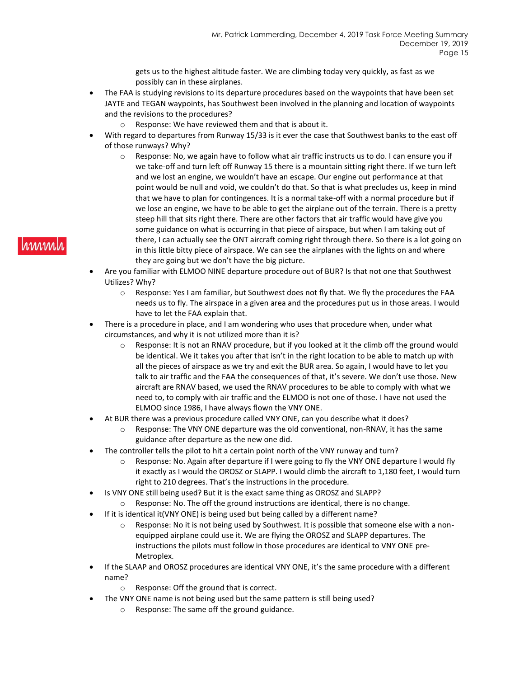gets us to the highest altitude faster. We are climbing today very quickly, as fast as we possibly can in these airplanes.

- The FAA is studying revisions to its departure procedures based on the waypoints that have been set JAYTE and TEGAN waypoints, has Southwest been involved in the planning and location of waypoints and the revisions to the procedures?
	- o Response: We have reviewed them and that is about it.
- With regard to departures from Runway 15/33 is it ever the case that Southwest banks to the east off of those runways? Why?
	- $\circ$  Response: No, we again have to follow what air traffic instructs us to do. I can ensure you if we take-off and turn left off Runway 15 there is a mountain sitting right there. If we turn left and we lost an engine, we wouldn't have an escape. Our engine out performance at that point would be null and void, we couldn't do that. So that is what precludes us, keep in mind that we have to plan for contingences. It is a normal take-off with a normal procedure but if we lose an engine, we have to be able to get the airplane out of the terrain. There is a pretty steep hill that sits right there. There are other factors that air traffic would have give you some guidance on what is occurring in that piece of airspace, but when I am taking out of there, I can actually see the ONT aircraft coming right through there. So there is a lot going on in this little bitty piece of airspace. We can see the airplanes with the lights on and where they are going but we don't have the big picture.
- Are you familiar with ELMOO NINE departure procedure out of BUR? Is that not one that Southwest Utilizes? Why?
	- o Response: Yes I am familiar, but Southwest does not fly that. We fly the procedures the FAA needs us to fly. The airspace in a given area and the procedures put us in those areas. I would have to let the FAA explain that.
- There is a procedure in place, and I am wondering who uses that procedure when, under what circumstances, and why it is not utilized more than it is?
	- $\circ$  Response: It is not an RNAV procedure, but if you looked at it the climb off the ground would be identical. We it takes you after that isn't in the right location to be able to match up with all the pieces of airspace as we try and exit the BUR area. So again, I would have to let you talk to air traffic and the FAA the consequences of that, it's severe. We don't use those. New aircraft are RNAV based, we used the RNAV procedures to be able to comply with what we need to, to comply with air traffic and the ELMOO is not one of those. I have not used the ELMOO since 1986, I have always flown the VNY ONE.
- At BUR there was a previous procedure called VNY ONE, can you describe what it does?
	- $\circ$  Response: The VNY ONE departure was the old conventional, non-RNAV, it has the same guidance after departure as the new one did.
- The controller tells the pilot to hit a certain point north of the VNY runway and turn?
	- o Response: No. Again after departure if I were going to fly the VNY ONE departure I would fly it exactly as I would the OROSZ or SLAPP. I would climb the aircraft to 1,180 feet, I would turn right to 210 degrees. That's the instructions in the procedure.
- Is VNY ONE still being used? But it is the exact same thing as OROSZ and SLAPP?
	- o Response: No. The off the ground instructions are identical, there is no change.
- If it is identical it(VNY ONE) is being used but being called by a different name?
	- $\circ$  Response: No it is not being used by Southwest. It is possible that someone else with a nonequipped airplane could use it. We are flying the OROSZ and SLAPP departures. The instructions the pilots must follow in those procedures are identical to VNY ONE pre-Metroplex.
- If the SLAAP and OROSZ procedures are identical VNY ONE, it's the same procedure with a different name?
	- o Response: Off the ground that is correct.
- The VNY ONE name is not being used but the same pattern is still being used?
	- o Response: The same off the ground guidance.

## hmml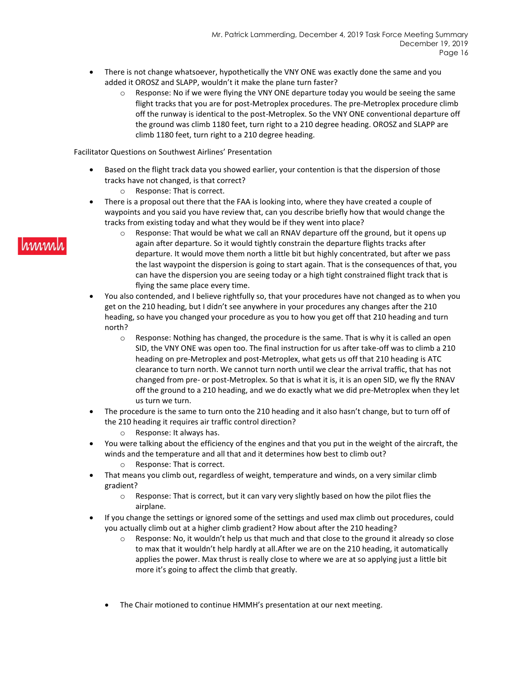- There is not change whatsoever, hypothetically the VNY ONE was exactly done the same and you added it OROSZ and SLAPP, wouldn't it make the plane turn faster?
	- $\circ$  Response: No if we were flying the VNY ONE departure today you would be seeing the same flight tracks that you are for post-Metroplex procedures. The pre-Metroplex procedure climb off the runway is identical to the post-Metroplex. So the VNY ONE conventional departure off the ground was climb 1180 feet, turn right to a 210 degree heading. OROSZ and SLAPP are climb 1180 feet, turn right to a 210 degree heading.

Facilitator Questions on Southwest Airlines' Presentation

- Based on the flight track data you showed earlier, your contention is that the dispersion of those tracks have not changed, is that correct?
	- o Response: That is correct.
- There is a proposal out there that the FAA is looking into, where they have created a couple of waypoints and you said you have review that, can you describe briefly how that would change the tracks from existing today and what they would be if they went into place?
	- $\circ$  Response: That would be what we call an RNAV departure off the ground, but it opens up again after departure. So it would tightly constrain the departure flights tracks after departure. It would move them north a little bit but highly concentrated, but after we pass the last waypoint the dispersion is going to start again. That is the consequences of that, you can have the dispersion you are seeing today or a high tight constrained flight track that is flying the same place every time.
- You also contended, and I believe rightfully so, that your procedures have not changed as to when you get on the 210 heading, but I didn't see anywhere in your procedures any changes after the 210 heading, so have you changed your procedure as you to how you get off that 210 heading and turn north?
	- $\circ$  Response: Nothing has changed, the procedure is the same. That is why it is called an open SID, the VNY ONE was open too. The final instruction for us after take-off was to climb a 210 heading on pre-Metroplex and post-Metroplex, what gets us off that 210 heading is ATC clearance to turn north. We cannot turn north until we clear the arrival traffic, that has not changed from pre- or post-Metroplex. So that is what it is, it is an open SID, we fly the RNAV off the ground to a 210 heading, and we do exactly what we did pre-Metroplex when they let us turn we turn.
- The procedure is the same to turn onto the 210 heading and it also hasn't change, but to turn off of the 210 heading it requires air traffic control direction?
	- o Response: It always has.
- You were talking about the efficiency of the engines and that you put in the weight of the aircraft, the winds and the temperature and all that and it determines how best to climb out? o Response: That is correct.
- That means you climb out, regardless of weight, temperature and winds, on a very similar climb gradient?
	- o Response: That is correct, but it can vary very slightly based on how the pilot flies the airplane.
- If you change the settings or ignored some of the settings and used max climb out procedures, could you actually climb out at a higher climb gradient? How about after the 210 heading?
	- $\circ$  Response: No, it wouldn't help us that much and that close to the ground it already so close to max that it wouldn't help hardly at all.After we are on the 210 heading, it automatically applies the power. Max thrust is really close to where we are at so applying just a little bit more it's going to affect the climb that greatly.
	- The Chair motioned to continue HMMH's presentation at our next meeting.